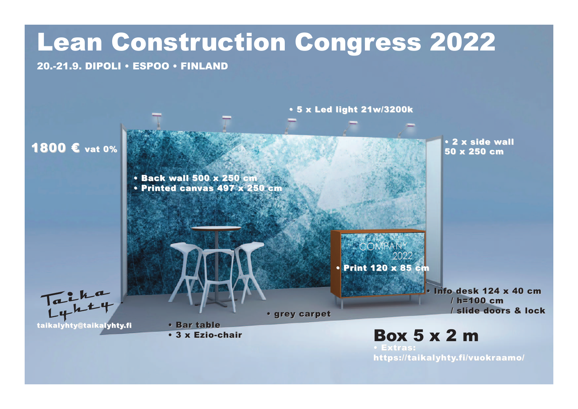## Lean Construction Congress 2022 20.-21.9. DIPOLI • ESPOO • FINLAND • 5 x Led light 21w/3200k • 2 x side wall • 2 x side wall 1800 € vat 0% 50 x 250 cm • Back wall 500 x 250 cm • Printed canvas 497 x 250 cm COMPAN • Print 120 x 85 cm taikalyhty@taikalyhty.fi • Info desk 124 x 40 cm / h=100 cm / slide doors & lock • grey carpet • grey carpet • Bar table Box 5 x 2 m • 3 x Ezio-chair • 3 x Ezio-chair • Extras: • Extras: https://taikalyhty.fi/vuokraamo/ https://taikalyhty.fi/vuokraamo/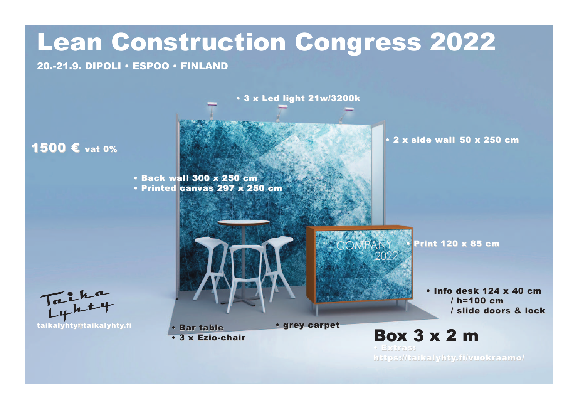## Lean Construction Congress 2022

20.-21.9. DIPOLI • ESPOO • FINLAND

• 3 x Led light 21w/3200k

1500 € vat 0%

• Back wall 300 x 250 cm • Printed canvas 297 x 250 cm • 2 x side wall • 2 x side wall 50 x 250 cm

• Print 120 x 85 cm

• Info desk 124 x 40 cm / h=100 cm / slide doors & lock



Box 3 x 2 m • Bar table • 3 x Ezio-chair • 3 x Ezio-chair

COMPANY

2022

• Extras: • Extras: https://taikalyhty.fi/vuokraamo/ https://taikalyhty.fi/vuokraamo/